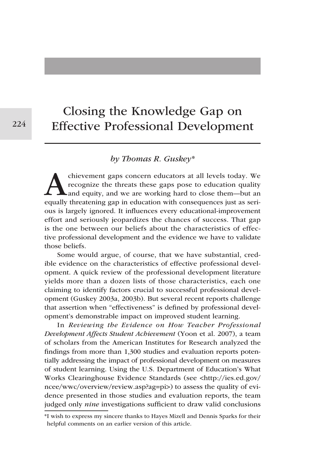# Closing the Knowledge Gap on Effective Professional Development

# *by Thomas R. Guskey*\*

chievement gaps concern educators at all levels today. We recognize the threats these gaps pose to education quality and equity, and we are working hard to close them—but an equally threatening gap in education with conseq recognize the threats these gaps pose to education quality and equity, and we are working hard to close them—but an equally threatening gap in education with consequences just as serious is largely ignored. It influences every educational-improvement effort and seriously jeopardizes the chances of success. That gap is the one between our beliefs about the characteristics of effective professional development and the evidence we have to validate those beliefs.

Some would argue, of course, that we have substantial, credible evidence on the characteristics of effective professional development. A quick review of the professional development literature yields more than a dozen lists of those characteristics, each one claiming to identify factors crucial to successful professional development (Guskey 2003a, 2003b). But several recent reports challenge that assertion when "effectiveness" is defined by professional development's demonstrable impact on improved student learning.

In *Reviewing the Evidence on How Teacher Professional Development Affects Student Achievement* (Yoon et al. 2007), a team of scholars from the American Institutes for Research analyzed the findings from more than 1,300 studies and evaluation reports potentially addressing the impact of professional development on measures of student learning. Using the U.S. Department of Education's What Works Clearinghouse Evidence Standards (see <http://ies.ed.gov/ ncee/wwc/overview/review.asp?ag=pi>) to assess the quality of evidence presented in those studies and evaluation reports, the team judged only *nine* investigations sufficient to draw valid conclusions

<sup>\*</sup> I wish to express my sincere thanks to Hayes Mizell and Dennis Sparks for their helpful comments on an earlier version of this article.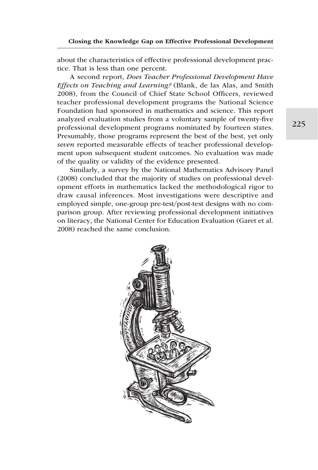about the characteristics of effective professional development practice. That is less than one percent.

A second report, *Does Teacher Professional Development Have Effects on Teaching and Learning?* (Blank, de las Alas, and Smith 2008), from the Council of Chief State School Officers, reviewed teacher professional development programs the National Science Foundation had sponsored in mathematics and science. This report analyzed evaluation studies from a voluntary sample of twenty-five professional development programs nominated by fourteen states. Presumably, those programs represent the best of the best, yet only *seven* reported measurable effects of teacher professional development upon subsequent student outcomes. No evaluation was made of the quality or validity of the evidence presented.

Similarly, a survey by the National Mathematics Advisory Panel (2008) concluded that the majority of studies on professional development efforts in mathematics lacked the methodological rigor to draw causal inferences. Most investigations were descriptive and employed simple, one-group pre-test/post-test designs with no comparison group. After reviewing professional development initiatives on literacy, the National Center for Education Evaluation (Garet et al. 2008) reached the same conclusion.

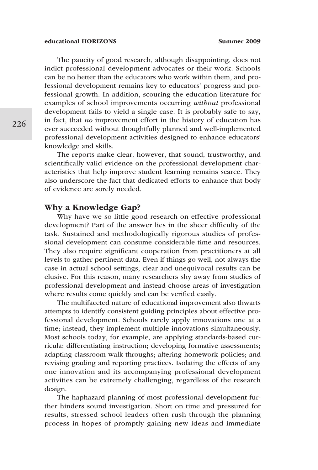The paucity of good research, although disappointing, does not indict professional development advocates or their work. Schools can be no better than the educators who work within them, and professional development remains key to educators' progress and professional growth. In addition, scouring the education literature for examples of school improvements occurring *without* professional development fails to yield a single case. It is probably safe to say, in fact, that *no* improvement effort in the history of education has ever succeeded without thoughtfully planned and well-implemented professional development activities designed to enhance educators' knowledge and skills.

The reports make clear, however, that sound, trustworthy, and scientifically valid evidence on the professional development characteristics that help improve student learning remains scarce. They also underscore the fact that dedicated efforts to enhance that body of evidence are sorely needed.

#### Why a Knowledge Gap?

Why have we so little good research on effective professional development? Part of the answer lies in the sheer difficulty of the task. Sustained and methodologically rigorous studies of professional development can consume considerable time and resources. They also require significant cooperation from practitioners at all levels to gather pertinent data. Even if things go well, not always the case in actual school settings, clear and unequivocal results can be elusive. For this reason, many researchers shy away from studies of professional development and instead choose areas of investigation where results come quickly and can be verified easily.

The multifaceted nature of educational improvement also thwarts attempts to identify consistent guiding principles about effective professional development. Schools rarely apply innovations one at a time; instead, they implement multiple innovations simultaneously. Most schools today, for example, are applying standards-based curricula; differentiating instruction; developing formative assessments; adapting classroom walk-throughs; altering homework policies; and revising grading and reporting practices. Isolating the effects of any one innovation and its accompanying professional development activities can be extremely challenging, regardless of the research design.

The haphazard planning of most professional development further hinders sound investigation. Short on time and pressured for results, stressed school leaders often rush through the planning process in hopes of promptly gaining new ideas and immediate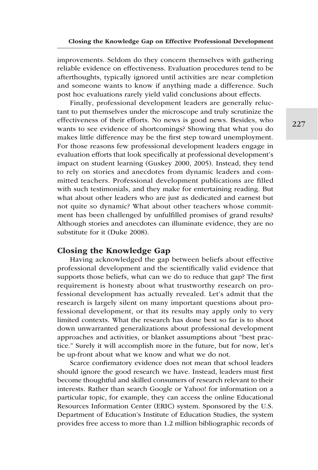improvements. Seldom do they concern themselves with gathering reliable evidence on effectiveness. Evaluation procedures tend to be afterthoughts, typically ignored until activities are near completion and someone wants to know if anything made a difference. Such post hoc evaluations rarely yield valid conclusions about effects.

Finally, professional development leaders are generally reluctant to put themselves under the microscope and truly scrutinize the effectiveness of their efforts. No news is good news. Besides, who wants to see evidence of shortcomings? Showing that what you do makes little difference may be the first step toward unemployment. For those reasons few professional development leaders engage in evaluation efforts that look specifically at professional development's impact on student learning (Guskey 2000, 2005). Instead, they tend to rely on stories and anecdotes from dynamic leaders and committed teachers. Professional development publications are filled with such testimonials, and they make for entertaining reading. But what about other leaders who are just as dedicated and earnest but not quite so dynamic? What about other teachers whose commitment has been challenged by unfulfilled promises of grand results? Although stories and anecdotes can illuminate evidence, they are no substitute for it (Duke 2008).

## Closing the Knowledge Gap

Having acknowledged the gap between beliefs about effective professional development and the scientifically valid evidence that supports those beliefs, what can we do to reduce that gap? The first requirement is honesty about what trustworthy research on professional development has actually revealed. Let's admit that the research is largely silent on many important questions about professional development, or that its results may apply only to very limited contexts. What the research has done best so far is to shoot down unwarranted generalizations about professional development approaches and activities, or blanket assumptions about "best practice." Surely it will accomplish more in the future, but for now, let's be up-front about what we know and what we do not.

Scarce confirmatory evidence does not mean that school leaders should ignore the good research we have. Instead, leaders must first become thoughtful and skilled consumers of research relevant to their interests. Rather than search Google or Yahoo! for information on a particular topic, for example, they can access the online Educational Resources Information Center (ERIC) system. Sponsored by the U.S. Department of Education's Institute of Education Studies, the system provides free access to more than 1.2 million bibliographic records of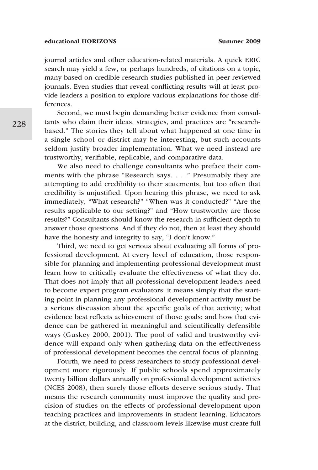journal articles and other education-related materials. A quick ERIC search may yield a few, or perhaps hundreds, of citations on a topic, many based on credible research studies published in peer-reviewed journals. Even studies that reveal conflicting results will at least provide leaders a position to explore various explanations for those differences.

Second, we must begin demanding better evidence from consultants who claim their ideas, strategies, and practices are "researchbased." The stories they tell about what happened at one time in a single school or district may be interesting, but such accounts seldom justify broader implementation. What we need instead are trustworthy, verifiable, replicable, and comparative data.

We also need to challenge consultants who preface their comments with the phrase "Research says. . . ." Presumably they are attempting to add credibility to their statements, but too often that credibility is unjustified. Upon hearing this phrase, we need to ask immediately, "What research?" "When was it conducted?" "Are the results applicable to our setting?" and "How trustworthy are those results?" Consultants should know the research in sufficient depth to answer those questions. And if they do not, then at least they should have the honesty and integrity to say, "I don't know."

Third, we need to get serious about evaluating all forms of professional development. At every level of education, those responsible for planning and implementing professional development must learn how to critically evaluate the effectiveness of what they do. That does not imply that all professional development leaders need to become expert program evaluators: it means simply that the starting point in planning any professional development activity must be a serious discussion about the specific goals of that activity; what evidence best reflects achievement of those goals; and how that evidence can be gathered in meaningful and scientifically defensible ways (Guskey 2000, 2001). The pool of valid and trustworthy evidence will expand only when gathering data on the effectiveness of professional development becomes the central focus of planning.

Fourth, we need to press researchers to study professional development more rigorously. If public schools spend approximately twenty billion dollars annually on professional development activities (NCES 2008), then surely those efforts deserve serious study. That means the research community must improve the quality and precision of studies on the effects of professional development upon teaching practices and improvements in student learning. Educators at the district, building, and classroom levels likewise must create full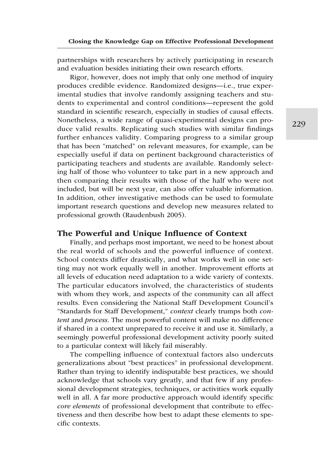partnerships with researchers by actively participating in research and evaluation besides initiating their own research efforts.

Rigor, however, does not imply that only one method of inquiry produces credible evidence. Randomized designs—i.e., true experimental studies that involve randomly assigning teachers and students to experimental and control conditions—represent the gold standard in scientific research, especially in studies of causal effects. Nonetheless, a wide range of quasi-experimental designs can produce valid results. Replicating such studies with similar findings further enhances validity. Comparing progress to a similar group that has been "matched" on relevant measures, for example, can be especially useful if data on pertinent background characteristics of participating teachers and students are available. Randomly selecting half of those who volunteer to take part in a new approach and then comparing their results with those of the half who were not included, but will be next year, can also offer valuable information. In addition, other investigative methods can be used to formulate important research questions and develop new measures related to professional growth (Raudenbush 2005).

## The Powerful and Unique Influence of Context

Finally, and perhaps most important, we need to be honest about the real world of schools and the powerful influence of context. School contexts differ drastically, and what works well in one setting may not work equally well in another. Improvement efforts at all levels of education need adaptation to a wide variety of contexts. The particular educators involved, the characteristics of students with whom they work, and aspects of the community can all affect results. Even considering the National Staff Development Council's "Standards for Staff Development," *context* clearly trumps both *content* and *process*. The most powerful content will make no difference if shared in a context unprepared to receive it and use it. Similarly, a seemingly powerful professional development activity poorly suited to a particular context will likely fail miserably.

The compelling influence of contextual factors also undercuts generalizations about "best practices" in professional development. Rather than trying to identify indisputable best practices, we should acknowledge that schools vary greatly, and that few if any professional development strategies, techniques, or activities work equally well in all. A far more productive approach would identify specific *core elements* of professional development that contribute to effectiveness and then describe how best to adapt these elements to specific contexts.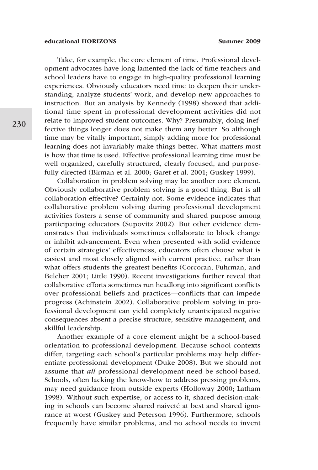Take, for example, the core element of time. Professional development advocates have long lamented the lack of time teachers and school leaders have to engage in high-quality professional learning experiences. Obviously educators need time to deepen their understanding, analyze students' work, and develop new approaches to instruction. But an analysis by Kennedy (1998) showed that additional time spent in professional development activities did not relate to improved student outcomes. Why? Presumably, doing ineffective things longer does not make them any better. So although time may be vitally important, simply adding more for professional learning does not invariably make things better. What matters most is how that time is used. Effective professional learning time must be well organized, carefully structured, clearly focused, and purposefully directed (Birman et al. 2000; Garet et al. 2001; Guskey 1999).

Collaboration in problem solving may be another core element. Obviously collaborative problem solving is a good thing. But is all collaboration effective? Certainly not. Some evidence indicates that collaborative problem solving during professional development activities fosters a sense of community and shared purpose among participating educators (Supovitz 2002). But other evidence demonstrates that individuals sometimes collaborate to block change or inhibit advancement. Even when presented with solid evidence of certain strategies' effectiveness, educators often choose what is easiest and most closely aligned with current practice, rather than what offers students the greatest benefits (Corcoran, Fuhrman, and Belcher 2001; Little 1990). Recent investigations further reveal that collaborative efforts sometimes run headlong into significant conflicts over professional beliefs and practices—conflicts that can impede progress (Achinstein 2002). Collaborative problem solving in professional development can yield completely unanticipated negative consequences absent a precise structure, sensitive management, and skillful leadership.

Another example of a core element might be a school-based orientation to professional development. Because school contexts differ, targeting each school's particular problems may help differentiate professional development (Duke 2008). But we should not assume that *all* professional development need be school-based. Schools, often lacking the know-how to address pressing problems, may need guidance from outside experts (Holloway 2000; Latham 1998). Without such expertise, or access to it, shared decision-making in schools can become shared naiveté at best and shared ignorance at worst (Guskey and Peterson 1996). Furthermore, schools frequently have similar problems, and no school needs to invent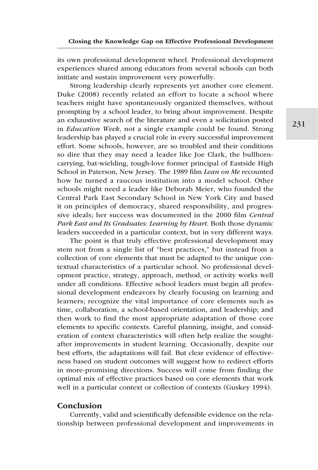its own professional development wheel. Professional development experiences shared among educators from several schools can both initiate and sustain improvement very powerfully.

Strong leadership clearly represents yet another core element. Duke (2008) recently related an effort to locate a school where teachers might have spontaneously organized themselves, without prompting by a school leader, to bring about improvement. Despite an exhaustive search of the literature and even a solicitation posted in *Education Week*, not a single example could be found. Strong leadership has played a crucial role in every successful improvement effort. Some schools, however, are so troubled and their conditions so dire that they may need a leader like Joe Clark, the bullhorncarrying, bat-wielding, tough-love former principal of Eastside High School in Paterson, New Jersey. The 1989 film *Lean on Me* recounted how he turned a raucous institution into a model school. Other schools might need a leader like Deborah Meier, who founded the Central Park East Secondary School in New York City and based it on principles of democracy, shared responsibility, and progressive ideals; her success was documented in the 2000 film *Central Park East and Its Graduates: Learning by Heart*. Both those dynamic leaders succeeded in a particular context, but in very different ways.

The point is that truly effective professional development may stem not from a single list of "best practices," but instead from a collection of core elements that must be adapted to the unique contextual characteristics of a particular school. No professional development practice, strategy, approach, method, or activity works well under all conditions. Effective school leaders must begin all professional development endeavors by clearly focusing on learning and learners; recognize the vital importance of core elements such as time, collaboration, a school-based orientation, and leadership; and then work to find the most appropriate adaptation of those core elements to specific contexts. Careful planning, insight, and consideration of context characteristics will often help realize the soughtafter improvements in student learning. Occasionally, despite our best efforts, the adaptations will fail. But clear evidence of effectiveness based on student outcomes will suggest how to redirect efforts in more-promising directions. Success will come from finding the optimal mix of effective practices based on core elements that work well in a particular context or collection of contexts (Guskey 1994).

# Conclusion

Currently, valid and scientifically defensible evidence on the relationship between professional development and improvements in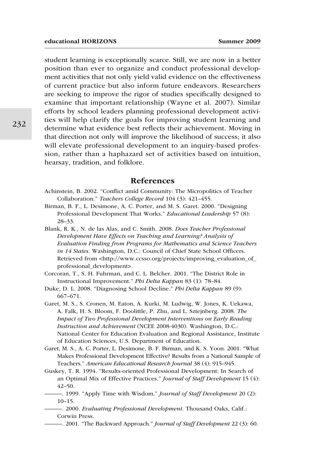student learning is exceptionally scarce. Still, we are now in a better position than ever to organize and conduct professional development activities that not only yield valid evidence on the effectiveness of current practice but also inform future endeavors. Researchers are seeking to improve the rigor of studies specifically designed to examine that important relationship (Wayne et al. 2007). Similar efforts by school leaders planning professional development activities will help clarify the goals for improving student learning and determine what evidence best reflects their achievement. Moving in that direction not only will improve the likelihood of success; it also will elevate professional development to an inquiry-based profession, rather than a haphazard set of activities based on intuition, hearsay, tradition, and folklore.

## References

- Achinstein, B. 2002. "Conflict amid Community: The Micropolitics of Teacher Collaboration." *Teachers College Record* 104 (3): 421–455.
- Birman, B. F., L. Desimone, A. C. Porter, and M. S. Garet. 2000. "Designing Professional Development That Works." *Educational Leadership* 57 (8): 28–33.
- Blank, R. K., N. de las Alas, and C. Smith. 2008. *Does Teacher Professional Development Have Effects on Teaching and Learning? Analysis of Evaluation Finding from Programs for Mathematics and Science Teachers in 14 States*. Washington, D.C.: Council of Chief State School Officers. Retrieved from <http://www.ccsso.org/projects/improving\_evaluation\_of\_ professional\_development>.
- Corcoran, T., S. H. Fuhrman, and C. L. Belcher. 2001. "The District Role in Instructional Improvement." *Phi Delta Kappan* 83 (1): 78–84.
- Duke, D. L. 2008. "Diagnosing School Decline." *Phi Delta Kappan* 89 (9): 667–671.

Garet, M. S., S. Cronen, M. Eaton, A. Kurki, M. Ludwig, W. Jones, K. Uekawa, A. Falk, H. S. Bloom, F. Doolittle, P. Zhu, and L. Sztejnberg. 2008. *The Impact of Two Professional Development Interventions on Early Reading Instruction and Achievement* (NCEE 2008-4030). Washington, D.C.: National Center for Education Evaluation and Regional Assistance, Institute of Education Sciences, U.S. Department of Education.

- Garet, M. S., A. C. Porter, L. Desimone, B. F. Birman, and K. S. Yoon. 2001. "What Makes Professional Development Effective? Results from a National Sample of Teachers." *American Educational Research Journal* 38 (4): 915–945.
- Guskey, T. R. 1994. "Results-oriented Professional Development: In Search of an Optimal Mix of Effective Practices." *Journal of Staff Development* 15 (4): 42–50.
- ———. 1999. "Apply Time with Wisdom." *Journal of Staff Development* 20 (2): 10–15.
	- ———. 2000. *Evaluating Professional Development*. Thousand Oaks, Calif.: Corwin Press.
	- ———. 2001. "The Backward Approach." *Journal of Staff Development* 22 (3): 60.